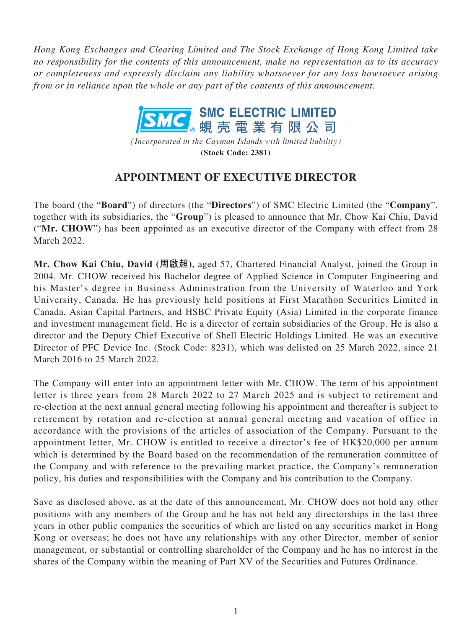*Hong Kong Exchanges and Clearing Limited and The Stock Exchange of Hong Kong Limited take no responsibility for the contents of this announcement, make no representation as to its accuracy or completeness and expressly disclaim any liability whatsoever for any loss howsoever arising from or in reliance upon the whole or any part of the contents of this announcement.*



*(Incorporated in the Cayman Islands with limited liability)* **(Stock Code: 2381)**

## **APPOINTMENT OF EXECUTIVE DIRECTOR**

The board (the "**Board**") of directors (the "**Directors**") of SMC Electric Limited (the "**Company**", together with its subsidiaries, the "**Group**") is pleased to announce that Mr. Chow Kai Chiu, David ("**Mr. CHOW**") has been appointed as an executive director of the Company with effect from 28 March 2022.

**Mr. Chow Kai Chiu, David (周啟超)**, aged 57, Chartered Financial Analyst, joined the Group in 2004. Mr. CHOW received his Bachelor degree of Applied Science in Computer Engineering and his Master's degree in Business Administration from the University of Waterloo and York University, Canada. He has previously held positions at First Marathon Securities Limited in Canada, Asian Capital Partners, and HSBC Private Equity (Asia) Limited in the corporate finance and investment management field. He is a director of certain subsidiaries of the Group. He is also a director and the Deputy Chief Executive of Shell Electric Holdings Limited. He was an executive Director of PFC Device Inc. (Stock Code: 8231), which was delisted on 25 March 2022, since 21 March 2016 to 25 March 2022.

The Company will enter into an appointment letter with Mr. CHOW. The term of his appointment letter is three years from 28 March 2022 to 27 March 2025 and is subject to retirement and re-election at the next annual general meeting following his appointment and thereafter is subject to retirement by rotation and re-election at annual general meeting and vacation of office in accordance with the provisions of the articles of association of the Company. Pursuant to the appointment letter, Mr. CHOW is entitled to receive a director's fee of HK\$20,000 per annum which is determined by the Board based on the recommendation of the remuneration committee of the Company and with reference to the prevailing market practice, the Company's remuneration policy, his duties and responsibilities with the Company and his contribution to the Company.

Save as disclosed above, as at the date of this announcement, Mr. CHOW does not hold any other positions with any members of the Group and he has not held any directorships in the last three years in other public companies the securities of which are listed on any securities market in Hong Kong or overseas; he does not have any relationships with any other Director, member of senior management, or substantial or controlling shareholder of the Company and he has no interest in the shares of the Company within the meaning of Part XV of the Securities and Futures Ordinance.